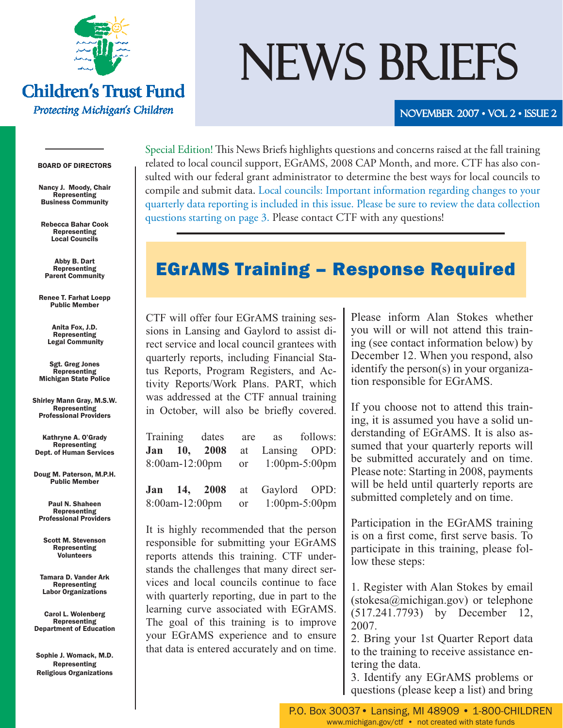

**Children's Trust Fund** 

Protecting Michigan's Children

# NEWS BRIEFS

#### NOVEMBER 2007 • VOL 2 • ISSUE 2

#### BOARD OF DIRECTORS

Nancy J. Moody, Chair Representing Business Community

Rebecca Bahar Cook Representing Local Councils

Abby B. Dart Representing Parent Community

Renee T. Farhat Loepp Public Member

> Anita Fox, J.D. Representing Legal Community

Sgt. Greg Jones **Representing** Michigan State Police

Shirley Mann Gray, M.S.W. **Representing** Professional Providers

Kathryne A. O'Grady Representing Dept. of Human Services

Doug M. Paterson, M.P.H. Public Member

Paul N. Shaheen Representing Professional Providers

Scott M. Stevenson Representing **Volunteers** 

Tamara D. Vander Ark Representing Labor Organizations

Carol L. Wolenberg Representing Department of Education

Sophie J. Womack, M.D. Representing Religious Organizations

Special Edition! This News Briefs highlights questions and concerns raised at the fall training related to local council support, EGrAMS, 2008 CAP Month, and more. CTF has also consulted with our federal grant administrator to determine the best ways for local councils to compile and submit data. Local councils: Important information regarding changes to your quarterly data reporting is included in this issue. Please be sure to review the data collection questions starting on page 3. Please contact CTF with any questions!

# EGrAMS Training – Response Required

CTF will offer four EGrAMS training sessions in Lansing and Gaylord to assist direct service and local council grantees with quarterly reports, including Financial Status Reports, Program Registers, and Activity Reports/Work Plans. PART, which was addressed at the CTF annual training in October, will also be briefly covered.

| Training dates are as follows: |  |  |                                    |  |
|--------------------------------|--|--|------------------------------------|--|
|                                |  |  | Jan 10, 2008 at Lansing OPD:       |  |
|                                |  |  | 8:00am-12:00pm or 1:00pm-5:00pm    |  |
|                                |  |  | Jan 14, 2008 at Gaylord OPD:       |  |
| 8:00am-12:00pm                 |  |  | or $1:00 \text{pm-}5:00 \text{pm}$ |  |

It is highly recommended that the person responsible for submitting your EGrAMS reports attends this training. CTF understands the challenges that many direct services and local councils continue to face with quarterly reporting, due in part to the learning curve associated with EGrAMS. The goal of this training is to improve your EGrAMS experience and to ensure that data is entered accurately and on time. Please inform Alan Stokes whether you will or will not attend this training (see contact information below) by December 12. When you respond, also identify the person(s) in your organization responsible for EGrAMS.

If you choose not to attend this training, it is assumed you have a solid understanding of EGrAMS. It is also assumed that your quarterly reports will be submitted accurately and on time. Please note: Starting in 2008, payments will be held until quarterly reports are submitted completely and on time.

Participation in the EGrAMS training is on a first come, first serve basis. To participate in this training, please follow these steps:

1. Register with Alan Stokes by email (stokesa@michigan.gov) or telephone (517.241.7793) by December 12, 2007.

2. Bring your 1st Quarter Report data to the training to receive assistance entering the data.

3. Identify any EGrAMS problems or questions (please keep a list) and bring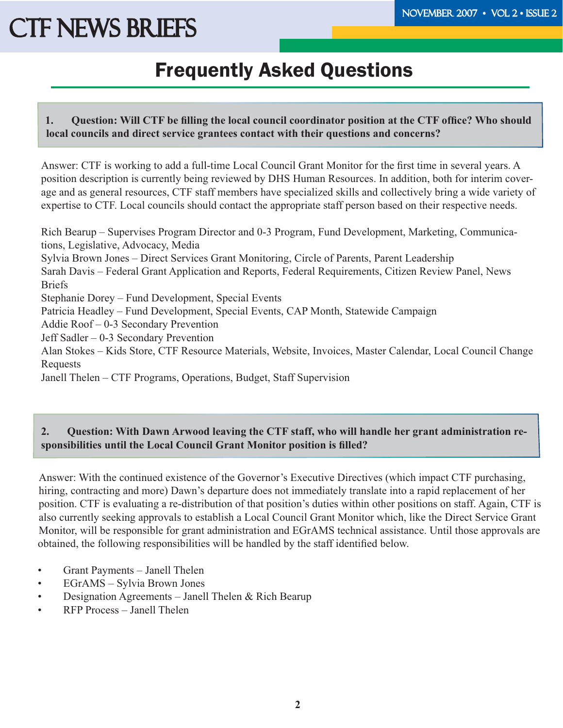# Frequently Asked Questions

**1.** Question: Will CTF be filling the local council coordinator position at the CTF office? Who should **local councils and direct service grantees contact with their questions and concerns?** 

Answer: CTF is working to add a full-time Local Council Grant Monitor for the first time in several years. A position description is currently being reviewed by DHS Human Resources. In addition, both for interim coverage and as general resources, CTF staff members have specialized skills and collectively bring a wide variety of expertise to CTF. Local councils should contact the appropriate staff person based on their respective needs.

Rich Bearup – Supervises Program Director and 0-3 Program, Fund Development, Marketing, Communications, Legislative, Advocacy, Media Sylvia Brown Jones – Direct Services Grant Monitoring, Circle of Parents, Parent Leadership Sarah Davis – Federal Grant Application and Reports, Federal Requirements, Citizen Review Panel, News Briefs Stephanie Dorey – Fund Development, Special Events Patricia Headley – Fund Development, Special Events, CAP Month, Statewide Campaign Addie Roof – 0-3 Secondary Prevention Jeff Sadler – 0-3 Secondary Prevention Alan Stokes – Kids Store, CTF Resource Materials, Website, Invoices, Master Calendar, Local Council Change Requests Janell Thelen – CTF Programs, Operations, Budget, Staff Supervision

### **2. Question: With Dawn Arwood leaving the CTF staff, who will handle her grant administration re**sponsibilities until the Local Council Grant Monitor position is filled?

Answer: With the continued existence of the Governor's Executive Directives (which impact CTF purchasing, hiring, contracting and more) Dawn's departure does not immediately translate into a rapid replacement of her position. CTF is evaluating a re-distribution of that position's duties within other positions on staff. Again, CTF is also currently seeking approvals to establish a Local Council Grant Monitor which, like the Direct Service Grant Monitor, will be responsible for grant administration and EGrAMS technical assistance. Until those approvals are obtained, the following responsibilities will be handled by the staff identified below.

- Grant Payments Janell Thelen
- EGrAMS Sylvia Brown Jones
- Designation Agreements Janell Thelen & Rich Bearup
- RFP Process Janell Thelen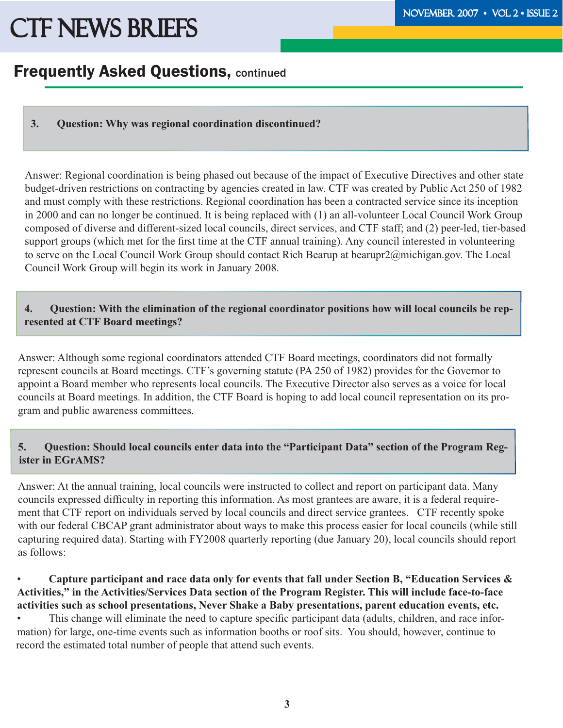## **Frequently Asked Questions, continued**

**3. Question: Why was regional coordination discontinued?**

Answer: Regional coordination is being phased out because of the impact of Executive Directives and other state budget-driven restrictions on contracting by agencies created in law. CTF was created by Public Act 250 of 1982 and must comply with these restrictions. Regional coordination has been a contracted service since its inception in 2000 and can no longer be continued. It is being replaced with (1) an all-volunteer Local Council Work Group composed of diverse and different-sized local councils, direct services, and CTF staff; and (2) peer-led, tier-based support groups (which met for the first time at the CTF annual training). Any council interested in volunteering to serve on the Local Council Work Group should contact Rich Bearup at bearupr2@michigan.gov. The Local Council Work Group will begin its work in January 2008.

#### **4. Question: With the elimination of the regional coordinator positions how will local councils be represented at CTF Board meetings?**

Answer: Although some regional coordinators attended CTF Board meetings, coordinators did not formally represent councils at Board meetings. CTF's governing statute (PA 250 of 1982) provides for the Governor to appoint a Board member who represents local councils. The Executive Director also serves as a voice for local councils at Board meetings. In addition, the CTF Board is hoping to add local council representation on its program and public awareness committees.

### **5. Question: Should local councils enter data into the "Participant Data" section of the Program Register in EGrAMS?**

Answer: At the annual training, local councils were instructed to collect and report on participant data. Many councils expressed difficulty in reporting this information. As most grantees are aware, it is a federal requirement that CTF report on individuals served by local councils and direct service grantees. CTF recently spoke with our federal CBCAP grant administrator about ways to make this process easier for local councils (while still capturing required data). Starting with FY2008 quarterly reporting (due January 20), local councils should report as follows:

### • **Capture participant and race data only for events that fall under Section B, "Education Services & Activities," in the Activities/Services Data section of the Program Register. This will include face-to-face activities such as school presentations, Never Shake a Baby presentations, parent education events, etc.**

This change will eliminate the need to capture specific participant data (adults, children, and race information) for large, one-time events such as information booths or roof sits. You should, however, continue to record the estimated total number of people that attend such events.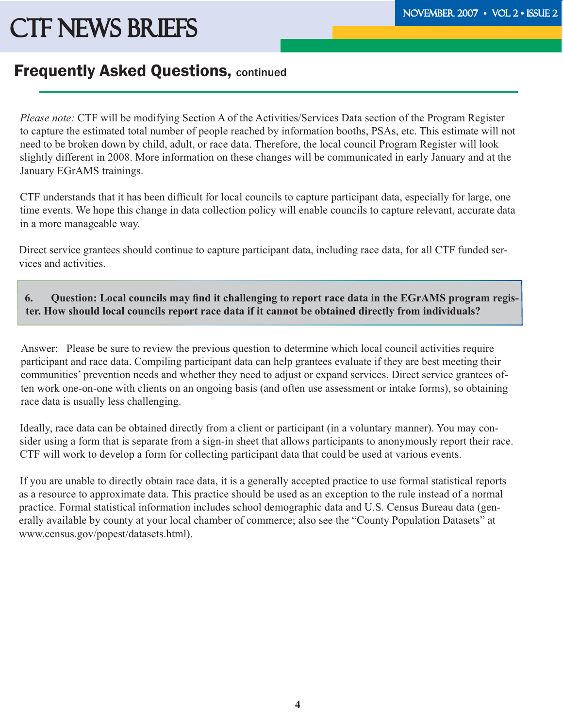### **Frequently Asked Questions, continued**

*Please note:* CTF will be modifying Section A of the Activities/Services Data section of the Program Register to capture the estimated total number of people reached by information booths, PSAs, etc. This estimate will not need to be broken down by child, adult, or race data. Therefore, the local council Program Register will look slightly different in 2008. More information on these changes will be communicated in early January and at the January EGrAMS trainings.

CTF understands that it has been difficult for local councils to capture participant data, especially for large, one time events. We hope this change in data collection policy will enable councils to capture relevant, accurate data in a more manageable way.

Direct service grantees should continue to capture participant data, including race data, for all CTF funded services and activities.

#### 6. Question: Local councils may find it challenging to report race data in the EGrAMS program regis**ter. How should local councils report race data if it cannot be obtained directly from individuals?**

Answer: Please be sure to review the previous question to determine which local council activities require participant and race data. Compiling participant data can help grantees evaluate if they are best meeting their communities' prevention needs and whether they need to adjust or expand services. Direct service grantees often work one-on-one with clients on an ongoing basis (and often use assessment or intake forms), so obtaining race data is usually less challenging.

Ideally, race data can be obtained directly from a client or participant (in a voluntary manner). You may consider using a form that is separate from a sign-in sheet that allows participants to anonymously report their race. CTF will work to develop a form for collecting participant data that could be used at various events.

If you are unable to directly obtain race data, it is a generally accepted practice to use formal statistical reports as a resource to approximate data. This practice should be used as an exception to the rule instead of a normal practice. Formal statistical information includes school demographic data and U.S. Census Bureau data (generally available by county at your local chamber of commerce; also see the "County Population Datasets" at www.census.gov/popest/datasets.html).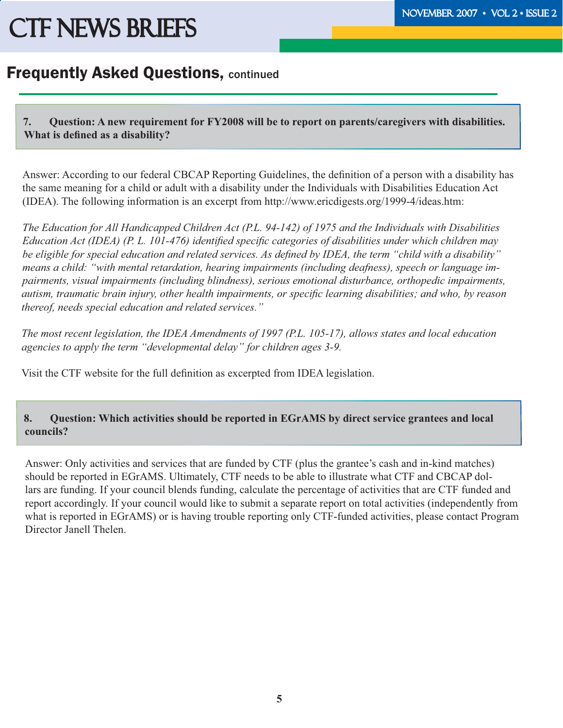### Frequently Asked Questions, continued

**7. Question: A new requirement for FY2008 will be to report on parents/caregivers with disabilities.**  What is defined as a disability?

Answer: According to our federal CBCAP Reporting Guidelines, the definition of a person with a disability has the same meaning for a child or adult with a disability under the Individuals with Disabilities Education Act (IDEA). The following information is an excerpt from http://www.ericdigests.org/1999-4/ideas.htm:

*The Education for All Handicapped Children Act (P.L. 94-142) of 1975 and the Individuals with Disabilities Education Act (IDEA) (P. L. 101-476) identified specific categories of disabilities under which children may* be eligible for special education and related services. As defined by IDEA, the term "child with a disability" *means a child: "with mental retardation, hearing impairments (including deafness), speech or language impairments, visual impairments (including blindness), serious emotional disturbance, orthopedic impairments, autism, traumatic brain injury, other health impairments, or specific learning disabilities; and who, by reason thereof, needs special education and related services."* 

*The most recent legislation, the IDEA Amendments of 1997 (P.L. 105-17), allows states and local education agencies to apply the term "developmental delay" for children ages 3-9.*

Visit the CTF website for the full definition as excerpted from IDEA legislation.

### **8. Question: Which activities should be reported in EGrAMS by direct service grantees and local councils?**

Answer: Only activities and services that are funded by CTF (plus the grantee's cash and in-kind matches) should be reported in EGrAMS. Ultimately, CTF needs to be able to illustrate what CTF and CBCAP dollars are funding. If your council blends funding, calculate the percentage of activities that are CTF funded and report accordingly. If your council would like to submit a separate report on total activities (independently from what is reported in EGrAMS) or is having trouble reporting only CTF-funded activities, please contact Program Director Janell Thelen.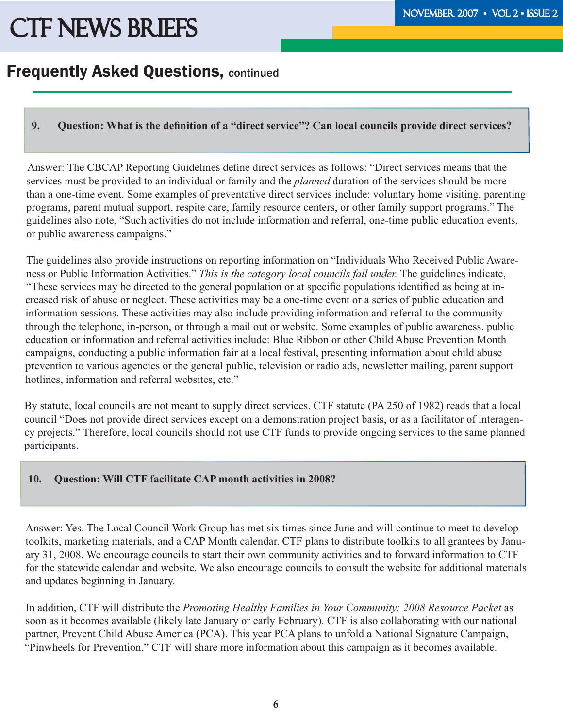# **Frequently Asked Questions, continued**

### **9.** Question: What is the definition of a "direct service"? Can local councils provide direct services?

Answer: The CBCAP Reporting Guidelines define direct services as follows: "Direct services means that the services must be provided to an individual or family and the *planned* duration of the services should be more than a one-time event. Some examples of preventative direct services include: voluntary home visiting, parenting programs, parent mutual support, respite care, family resource centers, or other family support programs." The guidelines also note, "Such activities do not include information and referral, one-time public education events, or public awareness campaigns."

The guidelines also provide instructions on reporting information on "Individuals Who Received Public Awareness or Public Information Activities." *This is the category local councils fall under.* The guidelines indicate, "These services may be directed to the general population or at specific populations identified as being at increased risk of abuse or neglect. These activities may be a one-time event or a series of public education and information sessions. These activities may also include providing information and referral to the community through the telephone, in-person, or through a mail out or website. Some examples of public awareness, public education or information and referral activities include: Blue Ribbon or other Child Abuse Prevention Month campaigns, conducting a public information fair at a local festival, presenting information about child abuse prevention to various agencies or the general public, television or radio ads, newsletter mailing, parent support hotlines, information and referral websites, etc."

By statute, local councils are not meant to supply direct services. CTF statute (PA 250 of 1982) reads that a local council "Does not provide direct services except on a demonstration project basis, or as a facilitator of interagency projects." Therefore, local councils should not use CTF funds to provide ongoing services to the same planned participants.

### **10. Question: Will CTF facilitate CAP month activities in 2008?**

Answer: Yes. The Local Council Work Group has met six times since June and will continue to meet to develop toolkits, marketing materials, and a CAP Month calendar. CTF plans to distribute toolkits to all grantees by January 31, 2008. We encourage councils to start their own community activities and to forward information to CTF for the statewide calendar and website. We also encourage councils to consult the website for additional materials and updates beginning in January.

In addition, CTF will distribute the *Promoting Healthy Families in Your Community: 2008 Resource Packet* as soon as it becomes available (likely late January or early February). CTF is also collaborating with our national partner, Prevent Child Abuse America (PCA). This year PCA plans to unfold a National Signature Campaign, "Pinwheels for Prevention." CTF will share more information about this campaign as it becomes available.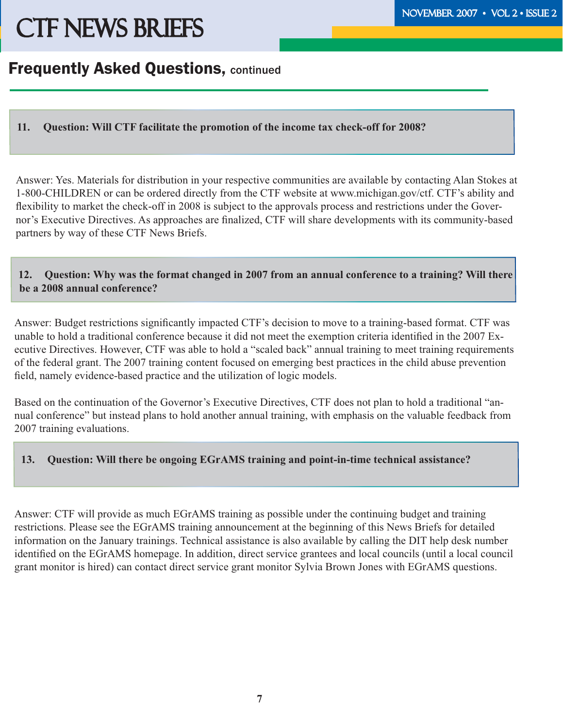### Frequently Asked Questions, continued

### **11. Question: Will CTF facilitate the promotion of the income tax check-off for 2008?**

Answer: Yes. Materials for distribution in your respective communities are available by contacting Alan Stokes at 1-800-CHILDREN or can be ordered directly from the CTF website at www.michigan.gov/ctf. CTF's ability and flexibility to market the check-off in 2008 is subject to the approvals process and restrictions under the Governor's Executive Directives. As approaches are finalized, CTF will share developments with its community-based partners by way of these CTF News Briefs.

#### **12. Question: Why was the format changed in 2007 from an annual conference to a training? Will there be a 2008 annual conference?**

Answer: Budget restrictions significantly impacted CTF's decision to move to a training-based format. CTF was unable to hold a traditional conference because it did not meet the exemption criteria identified in the 2007 Executive Directives. However, CTF was able to hold a "scaled back" annual training to meet training requirements of the federal grant. The 2007 training content focused on emerging best practices in the child abuse prevention field, namely evidence-based practice and the utilization of logic models.

Based on the continuation of the Governor's Executive Directives, CTF does not plan to hold a traditional "annual conference" but instead plans to hold another annual training, with emphasis on the valuable feedback from 2007 training evaluations.

#### **13. Question: Will there be ongoing EGrAMS training and point-in-time technical assistance?**

Answer: CTF will provide as much EGrAMS training as possible under the continuing budget and training restrictions. Please see the EGrAMS training announcement at the beginning of this News Briefs for detailed information on the January trainings. Technical assistance is also available by calling the DIT help desk number identified on the EGrAMS homepage. In addition, direct service grantees and local councils (until a local council grant monitor is hired) can contact direct service grant monitor Sylvia Brown Jones with EGrAMS questions.